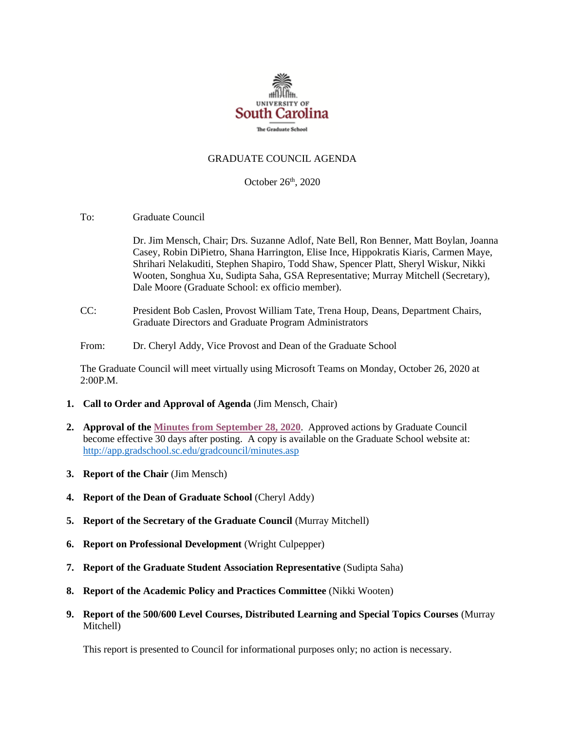

## GRADUATE COUNCIL AGENDA

October 26<sup>th</sup>, 2020

To: Graduate Council

Dr. Jim Mensch, Chair; Drs. Suzanne Adlof, Nate Bell, Ron Benner, Matt Boylan, Joanna Casey, Robin DiPietro, Shana Harrington, Elise Ince, Hippokratis Kiaris, Carmen Maye, Shrihari Nelakuditi, Stephen Shapiro, Todd Shaw, Spencer Platt, Sheryl Wiskur, Nikki Wooten, Songhua Xu, Sudipta Saha, GSA Representative; Murray Mitchell (Secretary), Dale Moore (Graduate School: ex officio member).

- CC: President Bob Caslen, Provost William Tate, Trena Houp, Deans, Department Chairs, Graduate Directors and Graduate Program Administrators
- From: Dr. Cheryl Addy, Vice Provost and Dean of the Graduate School

The Graduate Council will meet virtually using Microsoft Teams on Monday, October 26, 2020 at 2:00P.M.

- **1. Call to Order and Approval of Agenda** (Jim Mensch, Chair)
- **2. Approval of th[e Minutes from September 28, 2020](GCMINUTES9.28.20.%20mm.pdf)**. Approved actions by Graduate Council become effective 30 days after posting. A copy is available on the Graduate School website at: <http://app.gradschool.sc.edu/gradcouncil/minutes.asp>
- **3. Report of the Chair** (Jim Mensch)
- **4. Report of the Dean of Graduate School** (Cheryl Addy)
- **5. Report of the Secretary of the Graduate Council** (Murray Mitchell)
- **6. Report on Professional Development** (Wright Culpepper)
- **7. Report of the Graduate Student Association Representative** (Sudipta Saha)
- **8. Report of the Academic Policy and Practices Committee** (Nikki Wooten)
- **9. Report of the 500/600 Level Courses, Distributed Learning and Special Topics Courses** (Murray Mitchell)

This report is presented to Council for informational purposes only; no action is necessary.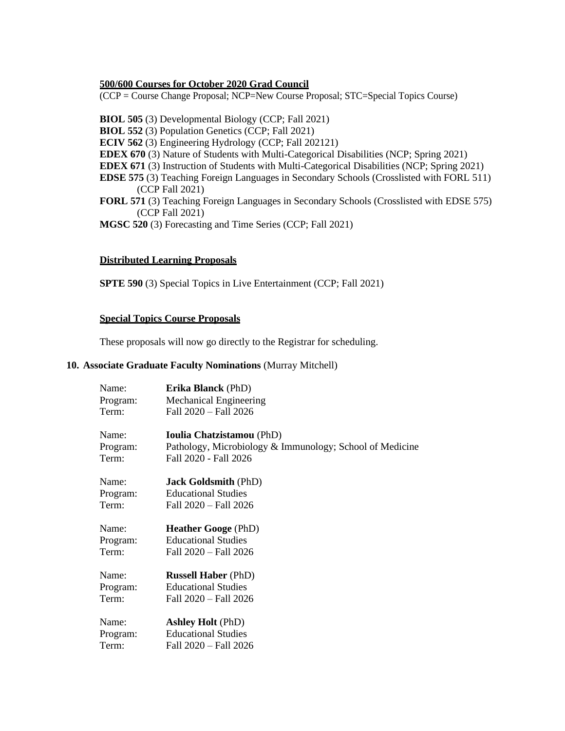## **500/600 Courses for October 2020 Grad Council**

(CCP = Course Change Proposal; NCP=New Course Proposal; STC=Special Topics Course)

**BIOL 505** (3) Developmental Biology (CCP; Fall 2021) **BIOL 552** (3) Population Genetics (CCP; Fall 2021) **ECIV 562** (3) Engineering Hydrology (CCP; Fall 202121) **EDEX 670** (3) Nature of Students with Multi-Categorical Disabilities (NCP; Spring 2021) **EDEX 671** (3) Instruction of Students with Multi-Categorical Disabilities (NCP; Spring 2021) **EDSE 575** (3) Teaching Foreign Languages in Secondary Schools (Crosslisted with FORL 511) (CCP Fall 2021) **FORL 571** (3) Teaching Foreign Languages in Secondary Schools (Crosslisted with EDSE 575) (CCP Fall 2021) **MGSC 520** (3) Forecasting and Time Series (CCP; Fall 2021)

### **Distributed Learning Proposals**

**SPTE 590** (3) Special Topics in Live Entertainment (CCP; Fall 2021)

#### **Special Topics Course Proposals**

These proposals will now go directly to the Registrar for scheduling.

## **10. Associate Graduate Faculty Nominations** (Murray Mitchell)

| Name:    | <b>Erika Blanck</b> (PhD)                                |
|----------|----------------------------------------------------------|
| Program: | <b>Mechanical Engineering</b>                            |
| Term:    | Fall 2020 - Fall 2026                                    |
| Name:    | <b>Ioulia Chatzistamou</b> (PhD)                         |
| Program: | Pathology, Microbiology & Immunology; School of Medicine |
| Term:    | Fall 2020 - Fall 2026                                    |
| Name:    | <b>Jack Goldsmith (PhD)</b>                              |
| Program: | <b>Educational Studies</b>                               |
| Term:    | Fall 2020 - Fall 2026                                    |
| Name:    | <b>Heather Googe</b> (PhD)                               |
| Program: | <b>Educational Studies</b>                               |
| Term:    | Fall 2020 - Fall 2026                                    |
| Name:    | <b>Russell Haber</b> (PhD)                               |
| Program: | <b>Educational Studies</b>                               |
| Term:    | Fall 2020 - Fall 2026                                    |
| Name:    | <b>Ashley Holt</b> (PhD)                                 |
| Program: | <b>Educational Studies</b>                               |
| Term:    | Fall 2020 - Fall 2026                                    |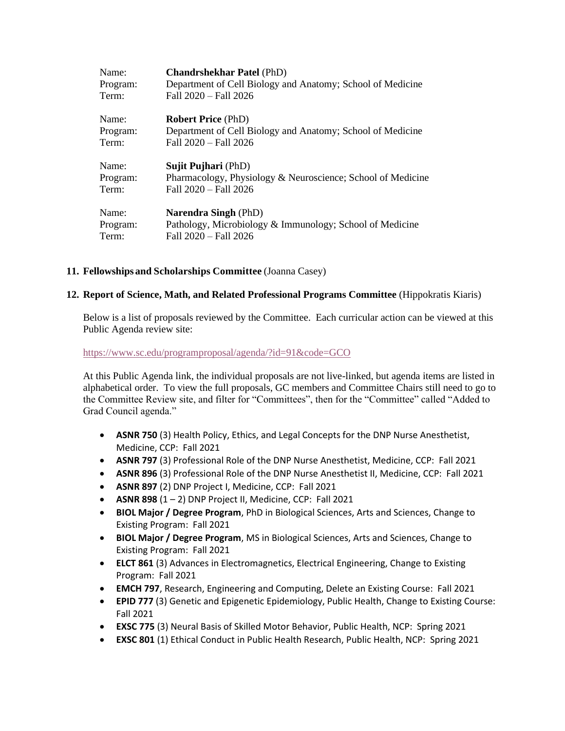| Name:    | <b>Chandrshekhar Patel (PhD)</b>                            |
|----------|-------------------------------------------------------------|
| Program: | Department of Cell Biology and Anatomy; School of Medicine  |
| Term:    | Fall 2020 - Fall 2026                                       |
| Name:    | <b>Robert Price (PhD)</b>                                   |
| Program: | Department of Cell Biology and Anatomy; School of Medicine  |
| Term:    | Fall 2020 - Fall 2026                                       |
| Name:    | <b>Sujit Pujhari</b> (PhD)                                  |
| Program: | Pharmacology, Physiology & Neuroscience; School of Medicine |
| Term:    | Fall 2020 - Fall 2026                                       |
| Name:    | <b>Narendra Singh (PhD)</b>                                 |
| Program: | Pathology, Microbiology & Immunology; School of Medicine    |
| Term:    | Fall 2020 - Fall 2026                                       |
|          |                                                             |

# **11. Fellowships and Scholarships Committee** (Joanna Casey)

# **12. Report of Science, Math, and Related Professional Programs Committee** (Hippokratis Kiaris)

Below is a list of proposals reviewed by the Committee. Each curricular action can be viewed at this Public Agenda review site:

<https://www.sc.edu/programproposal/agenda/?id=91&code=GCO>

At this Public Agenda link, the individual proposals are not live-linked, but agenda items are listed in alphabetical order. To view the full proposals, GC members and Committee Chairs still need to go to the Committee Review site, and filter for "Committees", then for the "Committee" called "Added to Grad Council agenda."

- **ASNR 750** (3) Health Policy, Ethics, and Legal Concepts for the DNP Nurse Anesthetist, Medicine, CCP: Fall 2021
- **ASNR 797** (3) Professional Role of the DNP Nurse Anesthetist, Medicine, CCP: Fall 2021
- **ASNR 896** (3) Professional Role of the DNP Nurse Anesthetist II, Medicine, CCP: Fall 2021
- **ASNR 897** (2) DNP Project I, Medicine, CCP: Fall 2021
- $\bullet$  **ASNR 898**  $(1 2)$  DNP Project II, Medicine, CCP: Fall 2021
- **BIOL Major / Degree Program**, PhD in Biological Sciences, Arts and Sciences, Change to Existing Program: Fall 2021
- **BIOL Major / Degree Program**, MS in Biological Sciences, Arts and Sciences, Change to Existing Program: Fall 2021
- **ELCT 861** (3) Advances in Electromagnetics, Electrical Engineering, Change to Existing Program: Fall 2021
- **EMCH 797**, Research, Engineering and Computing, Delete an Existing Course: Fall 2021
- **EPID 777** (3) Genetic and Epigenetic Epidemiology, Public Health, Change to Existing Course: Fall 2021
- **EXSC 775** (3) Neural Basis of Skilled Motor Behavior, Public Health, NCP: Spring 2021
- **EXSC 801** (1) Ethical Conduct in Public Health Research, Public Health, NCP: Spring 2021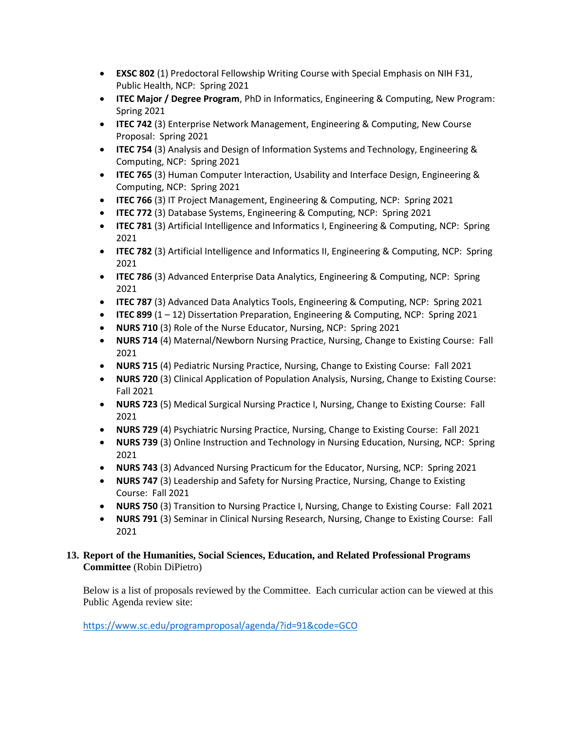- **EXSC 802** (1) Predoctoral Fellowship Writing Course with Special Emphasis on NIH F31, Public Health, NCP: Spring 2021
- **ITEC Major / Degree Program**, PhD in Informatics, Engineering & Computing, New Program: Spring 2021
- **ITEC 742** (3) Enterprise Network Management, Engineering & Computing, New Course Proposal: Spring 2021
- **ITEC 754** (3) Analysis and Design of Information Systems and Technology, Engineering & Computing, NCP: Spring 2021
- **ITEC 765** (3) Human Computer Interaction, Usability and Interface Design, Engineering & Computing, NCP: Spring 2021
- **ITEC 766** (3) IT Project Management, Engineering & Computing, NCP: Spring 2021
- **ITEC 772** (3) Database Systems, Engineering & Computing, NCP: Spring 2021
- **ITEC 781** (3) Artificial Intelligence and Informatics I, Engineering & Computing, NCP: Spring 2021
- **ITEC 782** (3) Artificial Intelligence and Informatics II, Engineering & Computing, NCP: Spring 2021
- **ITEC 786** (3) Advanced Enterprise Data Analytics, Engineering & Computing, NCP: Spring 2021
- **ITEC 787** (3) Advanced Data Analytics Tools, Engineering & Computing, NCP: Spring 2021
- **ITEC 899** (1 12) Dissertation Preparation, Engineering & Computing, NCP: Spring 2021
- **NURS 710** (3) Role of the Nurse Educator, Nursing, NCP: Spring 2021
- **NURS 714** (4) Maternal/Newborn Nursing Practice, Nursing, Change to Existing Course: Fall 2021
- **NURS 715** (4) Pediatric Nursing Practice, Nursing, Change to Existing Course: Fall 2021
- **NURS 720** (3) Clinical Application of Population Analysis, Nursing, Change to Existing Course: Fall 2021
- **NURS 723** (5) Medical Surgical Nursing Practice I, Nursing, Change to Existing Course: Fall 2021
- **NURS 729** (4) Psychiatric Nursing Practice, Nursing, Change to Existing Course: Fall 2021
- **NURS 739** (3) Online Instruction and Technology in Nursing Education, Nursing, NCP: Spring 2021
- **NURS 743** (3) Advanced Nursing Practicum for the Educator, Nursing, NCP: Spring 2021
- **NURS 747** (3) Leadership and Safety for Nursing Practice, Nursing, Change to Existing Course: Fall 2021
- **NURS 750** (3) Transition to Nursing Practice I, Nursing, Change to Existing Course: Fall 2021
- **NURS 791** (3) Seminar in Clinical Nursing Research, Nursing, Change to Existing Course: Fall 2021

# **13. Report of the Humanities, Social Sciences, Education, and Related Professional Programs Committee** (Robin DiPietro)

Below is a list of proposals reviewed by the Committee. Each curricular action can be viewed at this Public Agenda review site:

<https://www.sc.edu/programproposal/agenda/?id=91&code=GCO>